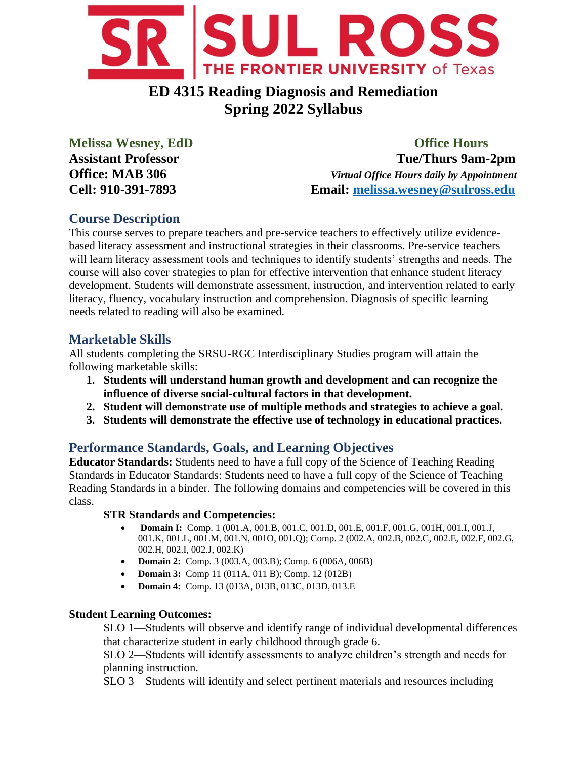

# **ED 4315 Reading Diagnosis and Remediation Spring 2022 Syllabus**

**Melissa Wesney, EdD Office Hours Assistant Professor Tue/Thurs 9am-2pm Office: MAB 306** *Virtual Office Hours daily by Appointment* **Cell: 910-391-7893 Email: [melissa.wesney@sulross.edu](mailto:melissa.wesney@sulross.edu)**

## **Course Description**

This course serves to prepare teachers and pre-service teachers to effectively utilize evidencebased literacy assessment and instructional strategies in their classrooms. Pre-service teachers will learn literacy assessment tools and techniques to identify students' strengths and needs. The course will also cover strategies to plan for effective intervention that enhance student literacy development. Students will demonstrate assessment, instruction, and intervention related to early literacy, fluency, vocabulary instruction and comprehension. Diagnosis of specific learning needs related to reading will also be examined.

## **Marketable Skills**

All students completing the SRSU-RGC Interdisciplinary Studies program will attain the following marketable skills:

- **1. Students will understand human growth and development and can recognize the influence of diverse social-cultural factors in that development.**
- **2. Student will demonstrate use of multiple methods and strategies to achieve a goal.**
- **3. Students will demonstrate the effective use of technology in educational practices.**

## **Performance Standards, Goals, and Learning Objectives**

**Educator Standards:** Students need to have a full copy of the Science of Teaching Reading Standards in Educator Standards: Students need to have a full copy of the Science of Teaching Reading Standards in a binder. The following domains and competencies will be covered in this class.

### **STR Standards and Competencies:**

- **Domain I:** Comp. 1 (001.A, 001.B, 001.C, 001.D, 001.E, 001.F, 001.G, 001H, 001.I, 001.J, 001.K, 001.L, 001.M, 001.N, 001O, 001.Q); Comp. 2 (002.A, 002.B, 002.C, 002.E, 002.F, 002.G, 002.H, 002.I, 002.J, 002.K)
- **Domain 2:** Comp. 3 (003.A, 003.B); Comp. 6 (006A, 006B)
- **Domain 3:** Comp 11 (011A, 011 B); Comp. 12 (012B)
- **Domain 4:** Comp. 13 (013A, 013B, 013C, 013D, 013.E

### **Student Learning Outcomes:**

SLO 1—Students will observe and identify range of individual developmental differences that characterize student in early childhood through grade 6.

SLO 2—Students will identify assessments to analyze children's strength and needs for planning instruction.

SLO 3—Students will identify and select pertinent materials and resources including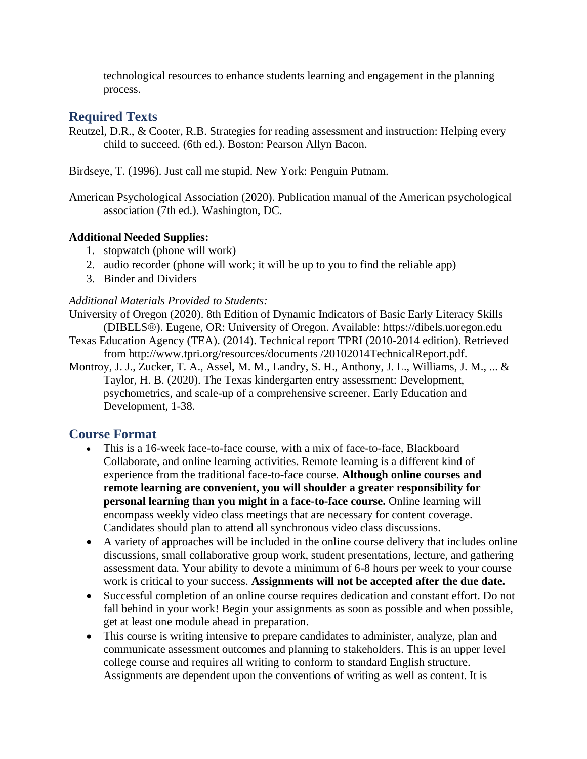technological resources to enhance students learning and engagement in the planning process.

## **Required Texts**

- Reutzel, D.R., & Cooter, R.B. Strategies for reading assessment and instruction: Helping every child to succeed. (6th ed.). Boston: Pearson Allyn Bacon.
- Birdseye, T. (1996). Just call me stupid. New York: Penguin Putnam.
- American Psychological Association (2020). Publication manual of the American psychological association (7th ed.). Washington, DC.

### **Additional Needed Supplies:**

- 1. stopwatch (phone will work)
- 2. audio recorder (phone will work; it will be up to you to find the reliable app)
- 3. Binder and Dividers

### *Additional Materials Provided to Students:*

- University of Oregon (2020). 8th Edition of Dynamic Indicators of Basic Early Literacy Skills (DIBELS®). Eugene, OR: University of Oregon. Available: https://dibels.uoregon.edu
- Texas Education Agency (TEA). (2014). Technical report TPRI (2010-2014 edition). Retrieved from http://www.tpri.org/resources/documents /20102014TechnicalReport.pdf.
- Montroy, J. J., Zucker, T. A., Assel, M. M., Landry, S. H., Anthony, J. L., Williams, J. M., ... & Taylor, H. B. (2020). The Texas kindergarten entry assessment: Development, psychometrics, and scale-up of a comprehensive screener. Early Education and Development, 1-38.

## **Course Format**

- This is a 16-week face-to-face course, with a mix of face-to-face, Blackboard Collaborate, and online learning activities. Remote learning is a different kind of experience from the traditional face-to-face course. **Although online courses and remote learning are convenient, you will shoulder a greater responsibility for personal learning than you might in a face-to-face course.** Online learning will encompass weekly video class meetings that are necessary for content coverage. Candidates should plan to attend all synchronous video class discussions.
- A variety of approaches will be included in the online course delivery that includes online discussions, small collaborative group work, student presentations, lecture, and gathering assessment data. Your ability to devote a minimum of 6-8 hours per week to your course work is critical to your success. **Assignments will not be accepted after the due date.**
- Successful completion of an online course requires dedication and constant effort. Do not fall behind in your work! Begin your assignments as soon as possible and when possible, get at least one module ahead in preparation.
- This course is writing intensive to prepare candidates to administer, analyze, plan and communicate assessment outcomes and planning to stakeholders. This is an upper level college course and requires all writing to conform to standard English structure. Assignments are dependent upon the conventions of writing as well as content. It is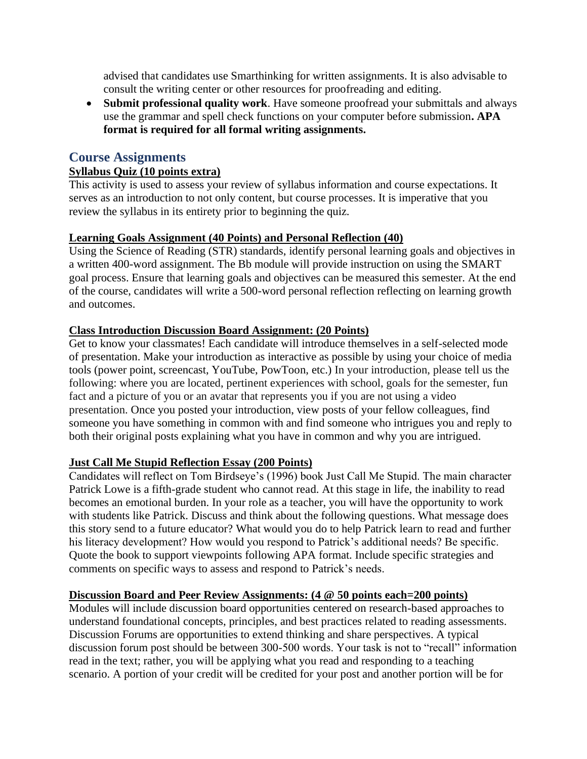advised that candidates use Smarthinking for written assignments. It is also advisable to consult the writing center or other resources for proofreading and editing.

• **Submit professional quality work**. Have someone proofread your submittals and always use the grammar and spell check functions on your computer before submission**. APA format is required for all formal writing assignments.**

## **Course Assignments**

### **Syllabus Quiz (10 points extra)**

This activity is used to assess your review of syllabus information and course expectations. It serves as an introduction to not only content, but course processes. It is imperative that you review the syllabus in its entirety prior to beginning the quiz.

### **Learning Goals Assignment (40 Points) and Personal Reflection (40)**

Using the Science of Reading (STR) standards, identify personal learning goals and objectives in a written 400-word assignment. The Bb module will provide instruction on using the SMART goal process. Ensure that learning goals and objectives can be measured this semester. At the end of the course, candidates will write a 500-word personal reflection reflecting on learning growth and outcomes.

#### **Class Introduction Discussion Board Assignment: (20 Points)**

Get to know your classmates! Each candidate will introduce themselves in a self-selected mode of presentation. Make your introduction as interactive as possible by using your choice of media tools (power point, screencast, YouTube, PowToon, etc.) In your introduction, please tell us the following: where you are located, pertinent experiences with school, goals for the semester, fun fact and a picture of you or an avatar that represents you if you are not using a video presentation. Once you posted your introduction, view posts of your fellow colleagues, find someone you have something in common with and find someone who intrigues you and reply to both their original posts explaining what you have in common and why you are intrigued.

### **Just Call Me Stupid Reflection Essay (200 Points)**

Candidates will reflect on Tom Birdseye's (1996) book Just Call Me Stupid. The main character Patrick Lowe is a fifth-grade student who cannot read. At this stage in life, the inability to read becomes an emotional burden. In your role as a teacher, you will have the opportunity to work with students like Patrick. Discuss and think about the following questions. What message does this story send to a future educator? What would you do to help Patrick learn to read and further his literacy development? How would you respond to Patrick's additional needs? Be specific. Quote the book to support viewpoints following APA format. Include specific strategies and comments on specific ways to assess and respond to Patrick's needs.

#### **Discussion Board and Peer Review Assignments: (4 @ 50 points each=200 points)**

Modules will include discussion board opportunities centered on research-based approaches to understand foundational concepts, principles, and best practices related to reading assessments. Discussion Forums are opportunities to extend thinking and share perspectives. A typical discussion forum post should be between 300-500 words. Your task is not to "recall" information read in the text; rather, you will be applying what you read and responding to a teaching scenario. A portion of your credit will be credited for your post and another portion will be for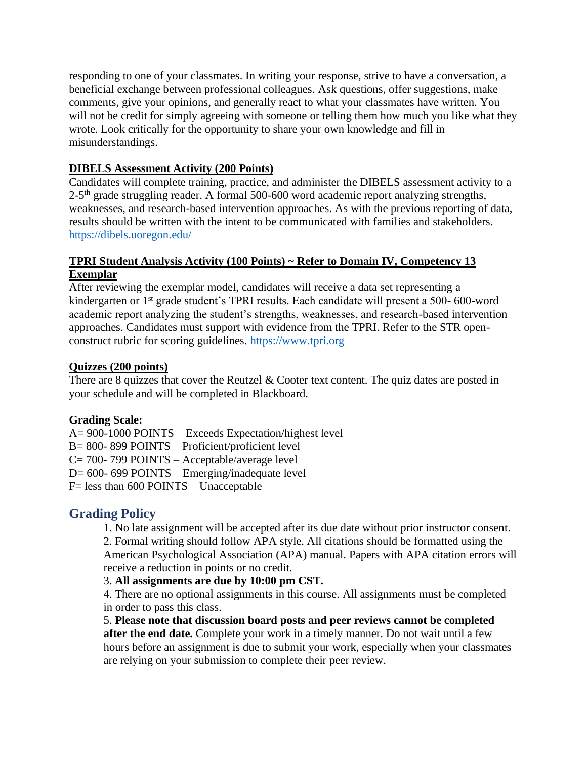responding to one of your classmates. In writing your response, strive to have a conversation, a beneficial exchange between professional colleagues. Ask questions, offer suggestions, make comments, give your opinions, and generally react to what your classmates have written. You will not be credit for simply agreeing with someone or telling them how much you like what they wrote. Look critically for the opportunity to share your own knowledge and fill in misunderstandings.

### **DIBELS Assessment Activity (200 Points)**

Candidates will complete training, practice, and administer the DIBELS assessment activity to a 2-5<sup>th</sup> grade struggling reader. A formal 500-600 word academic report analyzing strengths, weaknesses, and research-based intervention approaches. As with the previous reporting of data, results should be written with the intent to be communicated with families and stakeholders. https://dibels.uoregon.edu/

### **TPRI Student Analysis Activity (100 Points) ~ Refer to Domain IV, Competency 13 Exemplar**

After reviewing the exemplar model, candidates will receive a data set representing a kindergarten or 1<sup>st</sup> grade student's TPRI results. Each candidate will present a 500-600-word academic report analyzing the student's strengths, weaknesses, and research-based intervention approaches. Candidates must support with evidence from the TPRI. Refer to the STR openconstruct rubric for scoring guidelines. https://www.tpri.org

### **Quizzes (200 points)**

There are 8 quizzes that cover the Reutzel & Cooter text content. The quiz dates are posted in your schedule and will be completed in Blackboard.

## **Grading Scale:**

A= 900-1000 POINTS – Exceeds Expectation/highest level B= 800- 899 POINTS – Proficient/proficient level C= 700- 799 POINTS – Acceptable/average level D= 600- 699 POINTS – Emerging/inadequate level F= less than 600 POINTS – Unacceptable

## **Grading Policy**

1. No late assignment will be accepted after its due date without prior instructor consent. 2. Formal writing should follow APA style. All citations should be formatted using the American Psychological Association (APA) manual. Papers with APA citation errors will receive a reduction in points or no credit.

## 3. **All assignments are due by 10:00 pm CST.**

4. There are no optional assignments in this course. All assignments must be completed in order to pass this class.

5. **Please note that discussion board posts and peer reviews cannot be completed after the end date.** Complete your work in a timely manner. Do not wait until a few hours before an assignment is due to submit your work, especially when your classmates are relying on your submission to complete their peer review.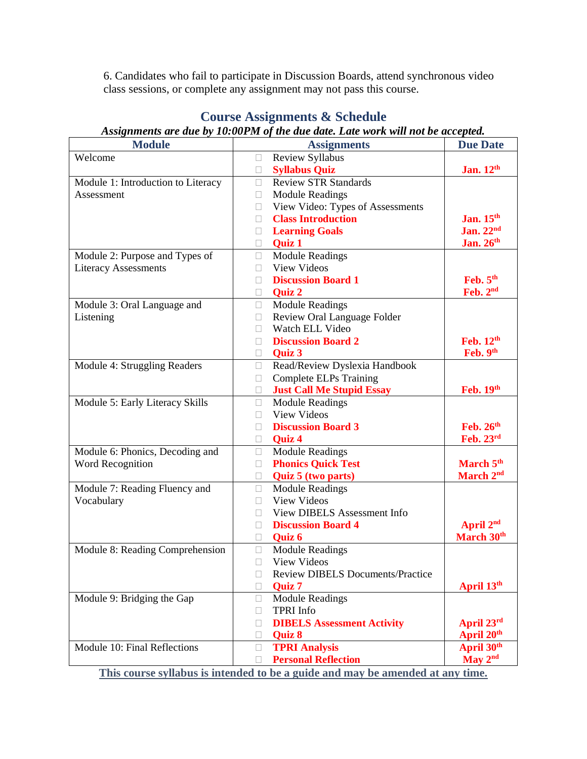6. Candidates who fail to participate in Discussion Boards, attend synchronous video class sessions, or complete any assignment may not pass this course.

| <b>Module</b>                      | <b>Assignments</b>                             | <b>Due Date</b>        |
|------------------------------------|------------------------------------------------|------------------------|
| Welcome                            | Review Syllabus<br>$\bullet$                   |                        |
|                                    | <b>Syllabus Quiz</b><br>$\bullet$              | Jan. 12th              |
| Module 1: Introduction to Literacy | <b>Review STR Standards</b><br>$\bullet$       |                        |
| Assessment                         | <b>Module Readings</b><br>$\bullet$            |                        |
|                                    | View Video: Types of Assessments<br>$\bullet$  |                        |
|                                    | <b>Class Introduction</b><br>$\bullet$         | Jan. 15th              |
|                                    | <b>Learning Goals</b><br>٠                     | Jan. $22nd$            |
|                                    | Quiz 1<br>$\bullet$                            | Jan. 26th              |
| Module 2: Purpose and Types of     | <b>Module Readings</b><br>$\bullet$            |                        |
| <b>Literacy Assessments</b>        | <b>View Videos</b><br>$\bullet$                |                        |
|                                    | <b>Discussion Board 1</b><br>$\bullet$         | Feb. 5th               |
|                                    | Quiz 2<br>$\bullet$                            | Feb. 2nd               |
| Module 3: Oral Language and        | <b>Module Readings</b><br>$\bullet$            |                        |
| Listening                          | Review Oral Language Folder<br>$\bullet$       |                        |
|                                    | Watch ELL Video<br>$\bullet$                   |                        |
|                                    | <b>Discussion Board 2</b><br>$\bullet$         | Feb. 12 <sup>th</sup>  |
|                                    | Quiz 3<br>$\bullet$                            | Feb. 9th               |
| Module 4: Struggling Readers       | Read/Review Dyslexia Handbook<br>$\bullet$     |                        |
|                                    | <b>Complete ELPs Training</b><br>$\bullet$     |                        |
|                                    | <b>Just Call Me Stupid Essay</b><br>$\bullet$  | Feb. 19th              |
| Module 5: Early Literacy Skills    | <b>Module Readings</b><br>$\bullet$            |                        |
|                                    | <b>View Videos</b><br>$\bullet$                |                        |
|                                    | <b>Discussion Board 3</b><br>$\bullet$         | Feb. 26 <sup>th</sup>  |
|                                    | Quiz 4<br>$\bullet$                            | Feb. 23rd              |
| Module 6: Phonics, Decoding and    | <b>Module Readings</b><br>$\bullet$            |                        |
| Word Recognition                   | <b>Phonics Quick Test</b><br>$\bullet$         | March 5th              |
|                                    | Quiz 5 (two parts)<br>$\bullet$                | March 2 <sup>nd</sup>  |
| Module 7: Reading Fluency and      | <b>Module Readings</b><br>$\bullet$            |                        |
| Vocabulary                         | <b>View Videos</b><br>$\bullet$                |                        |
|                                    | View DIBELS Assessment Info<br>$\bullet$       |                        |
|                                    | <b>Discussion Board 4</b><br>$\bullet$         | April 2 <sup>nd</sup>  |
|                                    | Quiz 6<br>$\bullet$                            | March 30 <sup>th</sup> |
| Module 8: Reading Comprehension    | <b>Module Readings</b><br>$\bullet$            |                        |
|                                    | View Videos<br>$\bullet$                       |                        |
|                                    | <b>Review DIBELS Documents/Practice</b><br>٠   |                        |
|                                    | Quiz 7                                         | April 13th             |
| Module 9: Bridging the Gap         | <b>Module Readings</b><br>$\bullet$            |                        |
|                                    | <b>TPRI</b> Info<br>$\bullet$                  |                        |
|                                    | <b>DIBELS Assessment Activity</b><br>$\bullet$ | April 23rd             |
|                                    | Quiz 8<br>$\bullet$                            | April 20 <sup>th</sup> |
| Module 10: Final Reflections       | <b>TPRI Analysis</b><br>$\bullet$              | April 30th             |
|                                    | <b>Personal Reflection</b><br>٠                | May $2nd$              |

## **Course Assignments & Schedule**

*Assignments are due by 10:00PM of the due date. Late work will not be accepted.*

**This course syllabus is intended to be a guide and may be amended at any time.**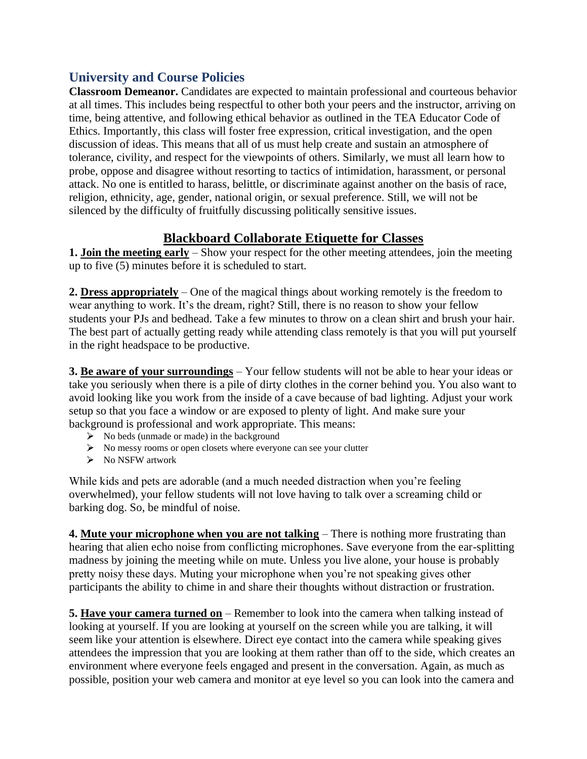## **University and Course Policies**

**Classroom Demeanor.** Candidates are expected to maintain professional and courteous behavior at all times. This includes being respectful to other both your peers and the instructor, arriving on time, being attentive, and following ethical behavior as outlined in the TEA Educator Code of Ethics. Importantly, this class will foster free expression, critical investigation, and the open discussion of ideas. This means that all of us must help create and sustain an atmosphere of tolerance, civility, and respect for the viewpoints of others. Similarly, we must all learn how to probe, oppose and disagree without resorting to tactics of intimidation, harassment, or personal attack. No one is entitled to harass, belittle, or discriminate against another on the basis of race, religion, ethnicity, age, gender, national origin, or sexual preference. Still, we will not be silenced by the difficulty of fruitfully discussing politically sensitive issues.

## **Blackboard Collaborate Etiquette for Classes**

**1. Join the meeting early** – Show your respect for the other meeting attendees, join the meeting up to five (5) minutes before it is scheduled to start.

**2. Dress appropriately** – One of the magical things about working remotely is the freedom to wear anything to work. It's the dream, right? Still, there is no reason to show your fellow students your PJs and bedhead. Take a few minutes to throw on a clean shirt and brush your hair. The best part of actually getting ready while attending class remotely is that you will put yourself in the right headspace to be productive.

**3. Be aware of your surroundings** – Your fellow students will not be able to hear your ideas or take you seriously when there is a pile of dirty clothes in the corner behind you. You also want to avoid looking like you work from the inside of a cave because of bad lighting. Adjust your work setup so that you face a window or are exposed to plenty of light. And make sure your background is professional and work appropriate. This means:

- $\triangleright$  No beds (unmade or made) in the background
- No messy rooms or open closets where everyone can see your clutter
- $\triangleright$  No NSFW artwork

While kids and pets are adorable (and a much needed distraction when you're feeling overwhelmed), your fellow students will not love having to talk over a screaming child or barking dog. So, be mindful of noise.

**4. Mute your microphone when you are not talking** – There is nothing more frustrating than hearing that alien echo noise from conflicting microphones. Save everyone from the ear-splitting madness by joining the meeting while on mute. Unless you live alone, your house is probably pretty noisy these days. Muting your microphone when you're not speaking gives other participants the ability to chime in and share their thoughts without distraction or frustration.

**5. Have your camera turned on** – Remember to look into the camera when talking instead of looking at yourself. If you are looking at yourself on the screen while you are talking, it will seem like your attention is elsewhere. Direct eye contact into the camera while speaking gives attendees the impression that you are looking at them rather than off to the side, which creates an environment where everyone feels engaged and present in the conversation. Again, as much as possible, position your web camera and monitor at eye level so you can look into the camera and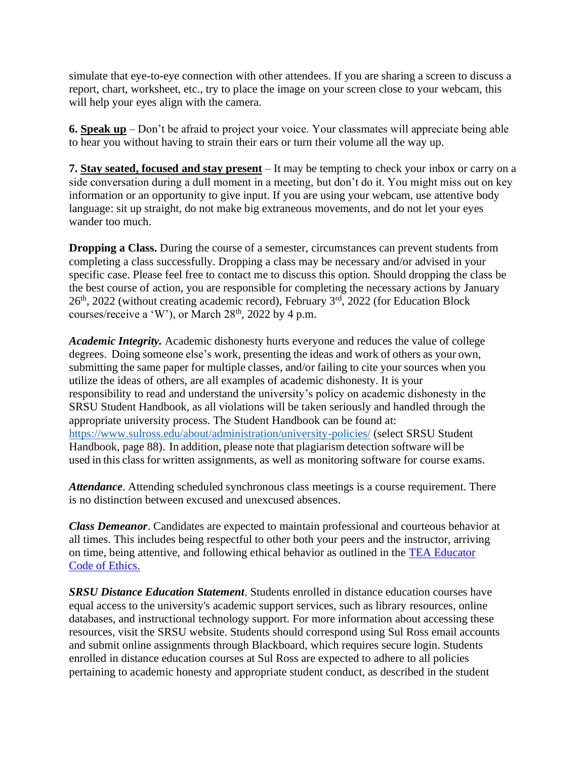simulate that eye-to-eye connection with other attendees. If you are sharing a screen to discuss a report, chart, worksheet, etc., try to place the image on your screen close to your webcam, this will help your eyes align with the camera.

**6. Speak up** – Don't be afraid to project your voice. Your classmates will appreciate being able to hear you without having to strain their ears or turn their volume all the way up.

**7. Stay seated, focused and stay present** – It may be tempting to check your inbox or carry on a side conversation during a dull moment in a meeting, but don't do it. You might miss out on key information or an opportunity to give input. If you are using your webcam, use attentive body language: sit up straight, do not make big extraneous movements, and do not let your eyes wander too much.

**Dropping a Class.** During the course of a semester, circumstances can prevent students from completing a class successfully. Dropping a class may be necessary and/or advised in your specific case. Please feel free to contact me to discuss this option. Should dropping the class be the best course of action, you are responsible for completing the necessary actions by January 26th, 2022 (without creating academic record), February 3rd, 2022 (for Education Block courses/receive a 'W'), or March  $28<sup>th</sup>$ ,  $2022$  by 4 p.m.

*Academic Integrity.* Academic dishonesty hurts everyone and reduces the value of college degrees. Doing someone else's work, presenting the ideas and work of others as your own, submitting the same paper for multiple classes, and/or failing to cite your sources when you utilize the ideas of others, are all examples of academic dishonesty. It is your responsibility to read and understand the university's policy on academic dishonesty in the SRSU Student Handbook, as all violations will be taken seriously and handled through the appropriate university process. The Student Handbook can be found at: <https://www.sulross.edu/about/administration/university-policies/> (select SRSU Student Handbook, page 88). In addition, please note that plagiarism detection software will be used in this class for written assignments, as well as monitoring software for course exams.

*Attendance*. Attending scheduled synchronous class meetings is a course requirement. There is no distinction between excused and unexcused absences.

*Class Demeanor*. Candidates are expected to maintain professional and courteous behavior at all times. This includes being respectful to other both your peers and the instructor, arriving on time, being attentive, and following ethical behavior as outlined in the [TEA Educator](https://tea.texas.gov/Texas_Educators/Investigations/Educators__Code_of_Ethics)  [Code of Ethics.](https://tea.texas.gov/Texas_Educators/Investigations/Educators__Code_of_Ethics)

*SRSU Distance Education Statement*. Students enrolled in distance education courses have equal access to the university's academic support services, such as library resources, online databases, and instructional technology support. For more information about accessing these resources, visit the SRSU website. Students should correspond using Sul Ross email accounts and submit online assignments through Blackboard, which requires secure login. Students enrolled in distance education courses at Sul Ross are expected to adhere to all policies pertaining to academic honesty and appropriate student conduct, as described in the student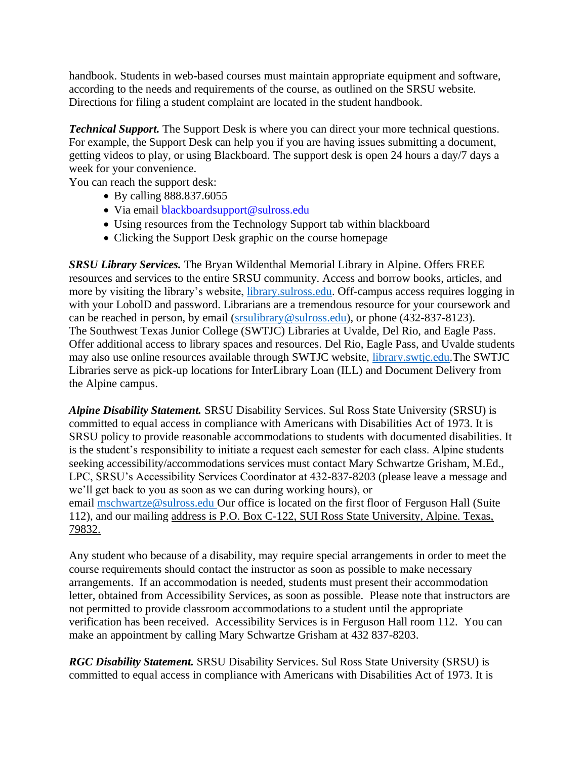handbook. Students in web-based courses must maintain appropriate equipment and software, according to the needs and requirements of the course, as outlined on the SRSU website. Directions for filing a student complaint are located in the student handbook.

*Technical Support.* The Support Desk is where you can direct your more technical questions. For example, the Support Desk can help you if you are having issues submitting a document, getting videos to play, or using Blackboard. The support desk is open 24 hours a day/7 days a week for your convenience.

You can reach the support desk:

- By calling 888.837.6055
- Via email blackboardsupport@sulross.edu
- Using resources from the Technology Support tab within blackboard
- Clicking the Support Desk graphic on the course homepage

*SRSU Library Services.* The Bryan Wildenthal Memorial Library in Alpine. Offers FREE resources and services to the entire SRSU community. Access and borrow books, articles, and more by visiting the library's website, [library.sulross.edu.](https://library.sulross.edu/) Off-campus access requires logging in with your LobolD and password. Librarians are a tremendous resource for your coursework and can be reached in person, by email [\(srsulibrary@sulross.edu\)](mailto:srsulibrary@sulross.edu), or phone (432-837-8123). The Southwest Texas Junior College (SWTJC) Libraries at Uvalde, Del Rio, and Eagle Pass. Offer additional access to library spaces and resources. Del Rio, Eagle Pass, and Uvalde students may also use online resources available through SWTJC website, [library.swtjc.edu.](https://library.swtjc.edu/)The SWTJC Libraries serve as pick-up locations for InterLibrary Loan (ILL) and Document Delivery from the Alpine campus.

*Alpine Disability Statement.* SRSU Disability Services. Sul Ross State University (SRSU) is committed to equal access in compliance with Americans with Disabilities Act of 1973. It is SRSU policy to provide reasonable accommodations to students with documented disabilities. It is the student's responsibility to initiate a request each semester for each class. Alpine students seeking accessibility/accommodations services must contact Mary Schwartze Grisham, M.Ed., LPC, SRSU's Accessibility Services Coordinator at 432-837-8203 (please leave a message and we'll get back to you as soon as we can during working hours), or email [mschwartze@sulross.edu](mailto:mschwartze@sulross.edu) Our office is located on the first floor of Ferguson Hall (Suite 112), and our mailing address is P.O. Box C-122, SUI Ross State University, Alpine. Texas, 79832.

Any student who because of a disability, may require special arrangements in order to meet the course requirements should contact the instructor as soon as possible to make necessary arrangements. If an accommodation is needed, students must present their accommodation letter, obtained from Accessibility Services, as soon as possible. Please note that instructors are not permitted to provide classroom accommodations to a student until the appropriate verification has been received. Accessibility Services is in Ferguson Hall room 112. You can make an appointment by calling Mary Schwartze Grisham at 432 837-8203.

*RGC Disability Statement.* SRSU Disability Services. Sul Ross State University (SRSU) is committed to equal access in compliance with Americans with Disabilities Act of 1973. It is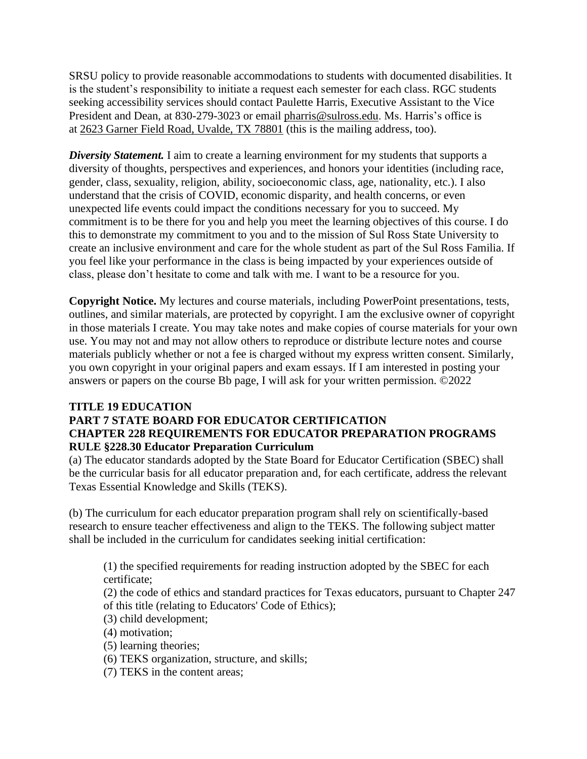SRSU policy to provide reasonable accommodations to students with documented disabilities. It is the student's responsibility to initiate a request each semester for each class. RGC students seeking accessibility services should contact Paulette Harris, Executive Assistant to the Vice President and Dean, at 830-279-3023 or email [pharris@sulross.edu.](mailto:pharris@sulross.edu) Ms. Harris's office is at 2623 Garner Field Road, Uvalde, TX 78801 (this is the mailing address, too).

**Diversity Statement.** I aim to create a learning environment for my students that supports a diversity of thoughts, perspectives and experiences, and honors your identities (including race, gender, class, sexuality, religion, ability, socioeconomic class, age, nationality, etc.). I also understand that the crisis of COVID, economic disparity, and health concerns, or even unexpected life events could impact the conditions necessary for you to succeed. My commitment is to be there for you and help you meet the learning objectives of this course. I do this to demonstrate my commitment to you and to the mission of Sul Ross State University to create an inclusive environment and care for the whole student as part of the Sul Ross Familia. If you feel like your performance in the class is being impacted by your experiences outside of class, please don't hesitate to come and talk with me. I want to be a resource for you.

**Copyright Notice.** My lectures and course materials, including PowerPoint presentations, tests, outlines, and similar materials, are protected by copyright. I am the exclusive owner of copyright in those materials I create. You may take notes and make copies of course materials for your own use. You may not and may not allow others to reproduce or distribute lecture notes and course materials publicly whether or not a fee is charged without my express written consent. Similarly, you own copyright in your original papers and exam essays. If I am interested in posting your answers or papers on the course Bb page, I will ask for your written permission. ©2022

## **TITLE 19 EDUCATION**

### **PART 7 STATE BOARD FOR EDUCATOR CERTIFICATION CHAPTER 228 REQUIREMENTS FOR EDUCATOR PREPARATION PROGRAMS RULE §228.30 Educator Preparation Curriculum**

(a) The educator standards adopted by the State Board for Educator Certification (SBEC) shall be the curricular basis for all educator preparation and, for each certificate, address the relevant Texas Essential Knowledge and Skills (TEKS).

(b) The curriculum for each educator preparation program shall rely on scientifically-based research to ensure teacher effectiveness and align to the TEKS. The following subject matter shall be included in the curriculum for candidates seeking initial certification:

(1) the specified requirements for reading instruction adopted by the SBEC for each certificate;

(2) the code of ethics and standard practices for Texas educators, pursuant to Chapter 247 of this title (relating to Educators' Code of Ethics);

- (3) child development;
- (4) motivation;
- (5) learning theories;
- (6) TEKS organization, structure, and skills;
- (7) TEKS in the content areas;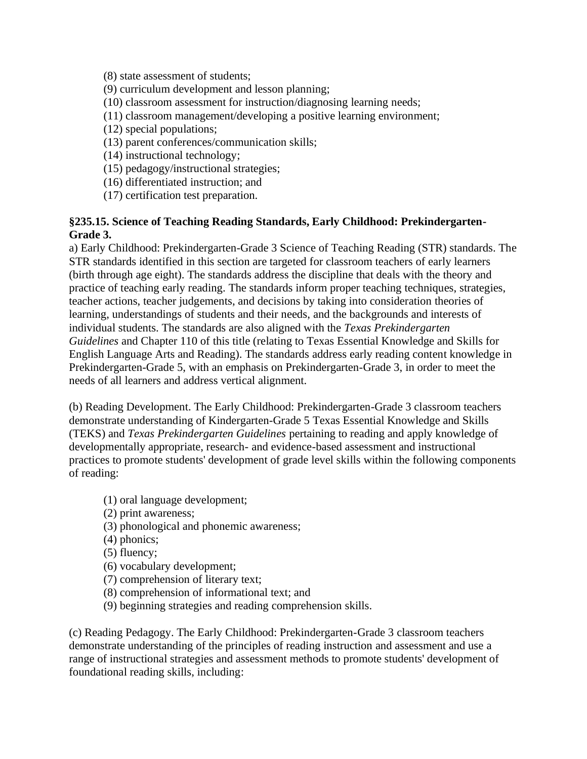(8) state assessment of students;

(9) curriculum development and lesson planning;

(10) classroom assessment for instruction/diagnosing learning needs;

- (11) classroom management/developing a positive learning environment;
- (12) special populations;
- (13) parent conferences/communication skills;

(14) instructional technology;

- (15) pedagogy/instructional strategies;
- (16) differentiated instruction; and
- (17) certification test preparation.

#### **§235.15. Science of Teaching Reading Standards, Early Childhood: Prekindergarten-Grade 3.**

a) Early Childhood: Prekindergarten-Grade 3 Science of Teaching Reading (STR) standards. The STR standards identified in this section are targeted for classroom teachers of early learners (birth through age eight). The standards address the discipline that deals with the theory and practice of teaching early reading. The standards inform proper teaching techniques, strategies, teacher actions, teacher judgements, and decisions by taking into consideration theories of learning, understandings of students and their needs, and the backgrounds and interests of individual students. The standards are also aligned with the *Texas Prekindergarten Guidelines* and Chapter 110 of this title (relating to Texas Essential Knowledge and Skills for English Language Arts and Reading). The standards address early reading content knowledge in Prekindergarten-Grade 5, with an emphasis on Prekindergarten-Grade 3, in order to meet the needs of all learners and address vertical alignment.

(b) Reading Development. The Early Childhood: Prekindergarten-Grade 3 classroom teachers demonstrate understanding of Kindergarten-Grade 5 Texas Essential Knowledge and Skills (TEKS) and *Texas Prekindergarten Guidelines* pertaining to reading and apply knowledge of developmentally appropriate, research- and evidence-based assessment and instructional practices to promote students' development of grade level skills within the following components of reading:

- (1) oral language development;
- (2) print awareness;
- (3) phonological and phonemic awareness;
- (4) phonics;
- (5) fluency;
- (6) vocabulary development;
- (7) comprehension of literary text;
- (8) comprehension of informational text; and
- (9) beginning strategies and reading comprehension skills.

(c) Reading Pedagogy. The Early Childhood: Prekindergarten-Grade 3 classroom teachers demonstrate understanding of the principles of reading instruction and assessment and use a range of instructional strategies and assessment methods to promote students' development of foundational reading skills, including: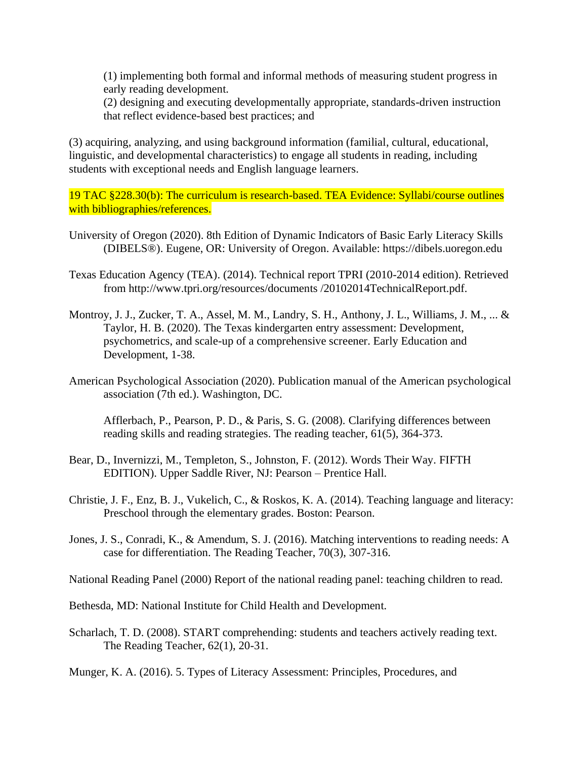(1) implementing both formal and informal methods of measuring student progress in early reading development.

(2) designing and executing developmentally appropriate, standards-driven instruction that reflect evidence-based best practices; and

(3) acquiring, analyzing, and using background information (familial, cultural, educational, linguistic, and developmental characteristics) to engage all students in reading, including students with exceptional needs and English language learners.

19 TAC §228.30(b): The curriculum is research-based. TEA Evidence: Syllabi/course outlines with bibliographies/references.

- University of Oregon (2020). 8th Edition of Dynamic Indicators of Basic Early Literacy Skills (DIBELS®). Eugene, OR: University of Oregon. Available: https://dibels.uoregon.edu
- Texas Education Agency (TEA). (2014). Technical report TPRI (2010-2014 edition). Retrieved from http://www.tpri.org/resources/documents /20102014TechnicalReport.pdf.
- Montroy, J. J., Zucker, T. A., Assel, M. M., Landry, S. H., Anthony, J. L., Williams, J. M., ... & Taylor, H. B. (2020). The Texas kindergarten entry assessment: Development, psychometrics, and scale-up of a comprehensive screener. Early Education and Development, 1-38.
- American Psychological Association (2020). Publication manual of the American psychological association (7th ed.). Washington, DC.

Afflerbach, P., Pearson, P. D., & Paris, S. G. (2008). Clarifying differences between reading skills and reading strategies. The reading teacher, 61(5), 364-373.

- Bear, D., Invernizzi, M., Templeton, S., Johnston, F. (2012). Words Their Way. FIFTH EDITION). Upper Saddle River, NJ: Pearson – Prentice Hall.
- Christie, J. F., Enz, B. J., Vukelich, C., & Roskos, K. A. (2014). Teaching language and literacy: Preschool through the elementary grades. Boston: Pearson.
- Jones, J. S., Conradi, K., & Amendum, S. J. (2016). Matching interventions to reading needs: A case for differentiation. The Reading Teacher, 70(3), 307-316.

National Reading Panel (2000) Report of the national reading panel: teaching children to read.

Bethesda, MD: National Institute for Child Health and Development.

Scharlach, T. D. (2008). START comprehending: students and teachers actively reading text. The Reading Teacher, 62(1), 20-31.

Munger, K. A. (2016). 5. Types of Literacy Assessment: Principles, Procedures, and